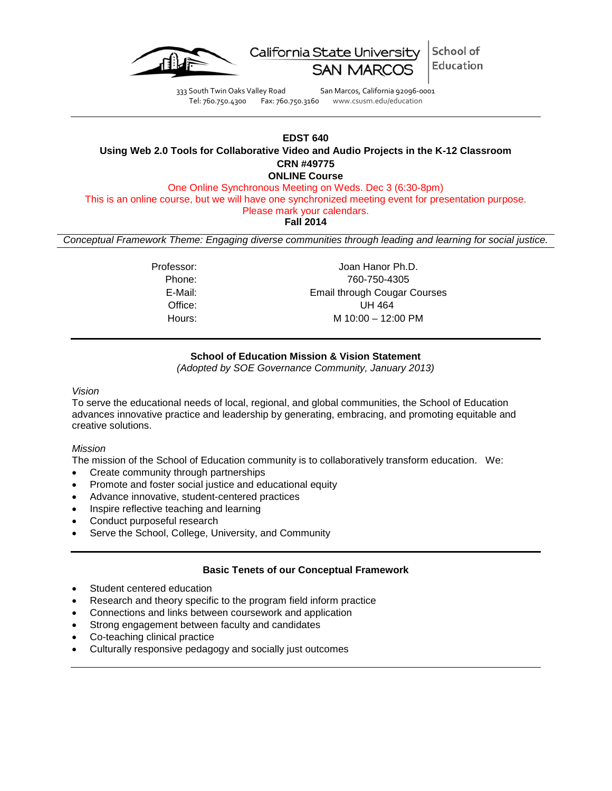

School of California State University Education

333 South Twin Oaks Valley Road San Marcos, California 92096-0001 Tel: 760.750.4300 Fax: 760.750.3160 www.csusm.edu/education

## **EDST 640 Using Web 2.0 Tools for Collaborative Video and Audio Projects in the K-12 Classroom CRN #49775 ONLINE Course**

One Online Synchronous Meeting on Weds. Dec 3 (6:30-8pm)

This is an online course, but we will have one synchronized meeting event for presentation purpose.

Please mark your calendars.

**Fall 2014**

*Conceptual Framework Theme: Engaging diverse communities through leading and learning for social justice.*

Professor: Joan Hanor Ph.D. Phone: 760-750-4305 E-Mail: Email through Cougar Courses Office: UH 464 Hours: M 10:00 – 12:00 PM

# **School of Education Mission & Vision Statement**

*(Adopted by SOE Governance Community, January 2013)*

### *Vision*

To serve the educational needs of local, regional, and global communities, the School of Education advances innovative practice and leadership by generating, embracing, and promoting equitable and creative solutions.

## *Mission*

The mission of the School of Education community is to collaboratively transform education. We:

- Create community through partnerships
- Promote and foster social justice and educational equity
- Advance innovative, student-centered practices
- Inspire reflective teaching and learning
- Conduct purposeful research
- Serve the School, College, University, and Community

## **Basic Tenets of our Conceptual Framework**

- Student centered education
- Research and theory specific to the program field inform practice
- Connections and links between coursework and application
- Strong engagement between faculty and candidates
- Co-teaching clinical practice
- Culturally responsive pedagogy and socially just outcomes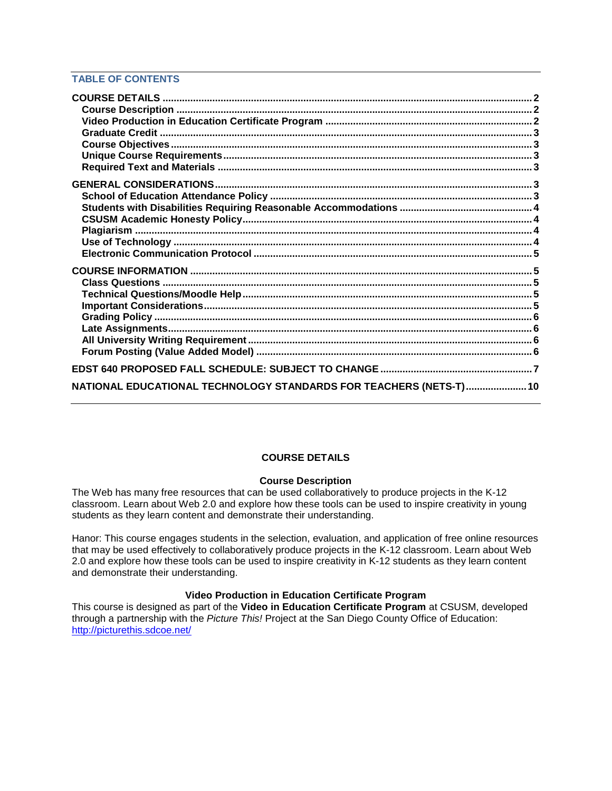## **TABLE OF CONTENTS**

| NATIONAL EDUCATIONAL TECHNOLOGY STANDARDS FOR TEACHERS (NETS-T) 10 |  |
|--------------------------------------------------------------------|--|

### **COURSE DETAILS**

## **Course Description**

<span id="page-1-1"></span><span id="page-1-0"></span>The Web has many free resources that can be used collaboratively to produce projects in the K-12 classroom. Learn about Web 2.0 and explore how these tools can be used to inspire creativity in young students as they learn content and demonstrate their understanding.

Hanor: This course engages students in the selection, evaluation, and application of free online resources that may be used effectively to collaboratively produce projects in the K-12 classroom. Learn about Web 2.0 and explore how these tools can be used to inspire creativity in K-12 students as they learn content and demonstrate their understanding.

## **Video Production in Education Certificate Program**

<span id="page-1-3"></span><span id="page-1-2"></span>This course is designed as part of the **Video in Education Certificate Program** at CSUSM, developed through a partnership with the *Picture This!* Project at the San Diego County Office of Education: <http://picturethis.sdcoe.net/>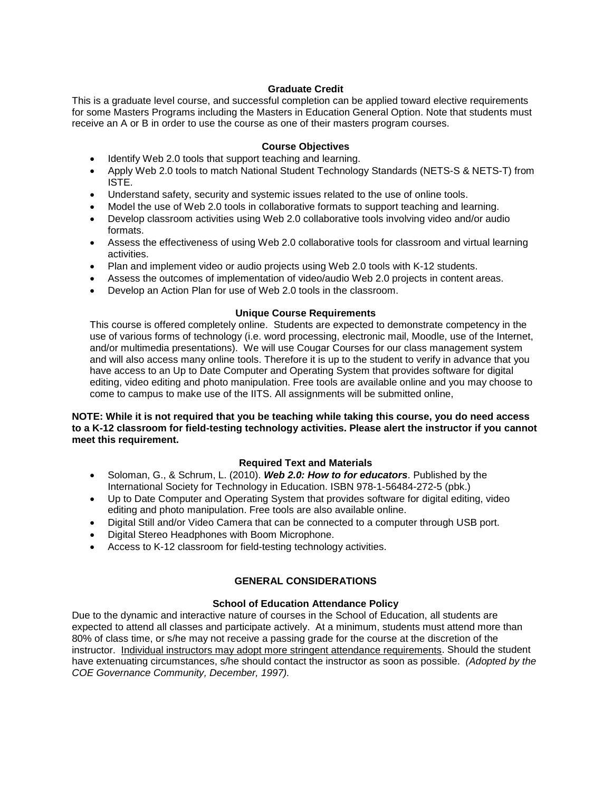## **Graduate Credit**

This is a graduate level course, and successful completion can be applied toward elective requirements for some Masters Programs including the Masters in Education General Option. Note that students must receive an A or B in order to use the course as one of their masters program courses.

### **Course Objectives**

- <span id="page-2-0"></span>• Identify Web 2.0 tools that support teaching and learning.
- Apply Web 2.0 tools to match National Student Technology Standards (NETS-S & NETS-T) from ISTE.
- Understand safety, security and systemic issues related to the use of online tools.
- Model the use of Web 2.0 tools in collaborative formats to support teaching and learning.
- Develop classroom activities using Web 2.0 collaborative tools involving video and/or audio formats.
- Assess the effectiveness of using Web 2.0 collaborative tools for classroom and virtual learning activities.
- Plan and implement video or audio projects using Web 2.0 tools with K-12 students.
- Assess the outcomes of implementation of video/audio Web 2.0 projects in content areas.
- Develop an Action Plan for use of Web 2.0 tools in the classroom.

### **Unique Course Requirements**

<span id="page-2-1"></span>This course is offered completely online. Students are expected to demonstrate competency in the use of various forms of technology (i.e. word processing, electronic mail, Moodle, use of the Internet, and/or multimedia presentations). We will use Cougar Courses for our class management system and will also access many online tools. Therefore it is up to the student to verify in advance that you have access to an Up to Date Computer and Operating System that provides software for digital editing, video editing and photo manipulation. Free tools are available online and you may choose to come to campus to make use of the IITS. All assignments will be submitted online,

### **NOTE: While it is not required that you be teaching while taking this course, you do need access to a K-12 classroom for field-testing technology activities. Please alert the instructor if you cannot meet this requirement.**

## **Required Text and Materials**

- <span id="page-2-2"></span>• Soloman, G., & Schrum, L. (2010). *Web 2.0: How to for educators*. Published by the International Society for Technology in Education. ISBN 978-1-56484-272-5 (pbk.)
- Up to Date Computer and Operating System that provides software for digital editing, video editing and photo manipulation. Free tools are also available online.
- Digital Still and/or Video Camera that can be connected to a computer through USB port.
- Digital Stereo Headphones with Boom Microphone.
- Access to K-12 classroom for field-testing technology activities.

## **GENERAL CONSIDERATIONS**

### **School of Education Attendance Policy**

<span id="page-2-4"></span><span id="page-2-3"></span>Due to the dynamic and interactive nature of courses in the School of Education, all students are expected to attend all classes and participate actively. At a minimum, students must attend more than 80% of class time, or s/he may not receive a passing grade for the course at the discretion of the instructor. Individual instructors may adopt more stringent attendance requirements. Should the student have extenuating circumstances, s/he should contact the instructor as soon as possible. *(Adopted by the COE Governance Community, December, 1997).*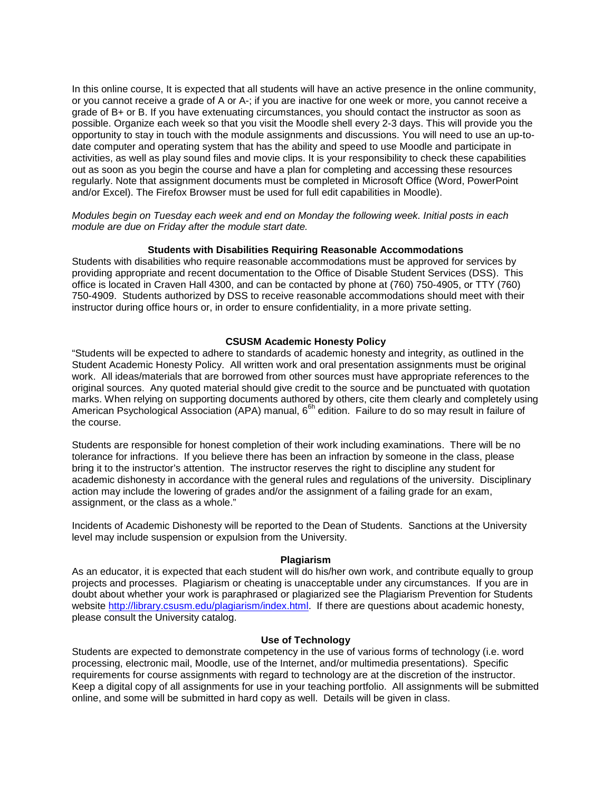In this online course, It is expected that all students will have an active presence in the online community, or you cannot receive a grade of A or A-; if you are inactive for one week or more, you cannot receive a grade of B+ or B. If you have extenuating circumstances, you should contact the instructor as soon as possible. Organize each week so that you visit the Moodle shell every 2-3 days. This will provide you the opportunity to stay in touch with the module assignments and discussions. You will need to use an up-todate computer and operating system that has the ability and speed to use Moodle and participate in activities, as well as play sound files and movie clips. It is your responsibility to check these capabilities out as soon as you begin the course and have a plan for completing and accessing these resources regularly. Note that assignment documents must be completed in Microsoft Office (Word, PowerPoint and/or Excel). The Firefox Browser must be used for full edit capabilities in Moodle).

*Modules begin on Tuesday each week and end on Monday the following week. Initial posts in each module are due on Friday after the module start date.*

#### **Students with Disabilities Requiring Reasonable Accommodations**

<span id="page-3-0"></span>Students with disabilities who require reasonable accommodations must be approved for services by providing appropriate and recent documentation to the Office of Disable Student Services (DSS). This office is located in Craven Hall 4300, and can be contacted by phone at (760) 750-4905, or TTY (760) 750-4909. Students authorized by DSS to receive reasonable accommodations should meet with their instructor during office hours or, in order to ensure confidentiality, in a more private setting.

#### **CSUSM Academic Honesty Policy**

<span id="page-3-1"></span>"Students will be expected to adhere to standards of academic honesty and integrity, as outlined in the Student Academic Honesty Policy. All written work and oral presentation assignments must be original work. All ideas/materials that are borrowed from other sources must have appropriate references to the original sources. Any quoted material should give credit to the source and be punctuated with quotation marks. When relying on supporting documents authored by others, cite them clearly and completely using American Psychological Association (APA) manual, 6<sup>6h</sup> edition. Failure to do so may result in failure of the course.

Students are responsible for honest completion of their work including examinations. There will be no tolerance for infractions. If you believe there has been an infraction by someone in the class, please bring it to the instructor's attention. The instructor reserves the right to discipline any student for academic dishonesty in accordance with the general rules and regulations of the university. Disciplinary action may include the lowering of grades and/or the assignment of a failing grade for an exam, assignment, or the class as a whole."

Incidents of Academic Dishonesty will be reported to the Dean of Students. Sanctions at the University level may include suspension or expulsion from the University.

#### **Plagiarism**

<span id="page-3-2"></span>As an educator, it is expected that each student will do his/her own work, and contribute equally to group projects and processes. Plagiarism or cheating is unacceptable under any circumstances. If you are in doubt about whether your work is paraphrased or plagiarized see the Plagiarism Prevention for Students website [http://library.csusm.edu/plagiarism/index.html.](http://library.csusm.edu/plagiarism/index.html) If there are questions about academic honesty, please consult the University catalog.

#### **Use of Technology**

<span id="page-3-3"></span>Students are expected to demonstrate competency in the use of various forms of technology (i.e. word processing, electronic mail, Moodle, use of the Internet, and/or multimedia presentations). Specific requirements for course assignments with regard to technology are at the discretion of the instructor. Keep a digital copy of all assignments for use in your teaching portfolio. All assignments will be submitted online, and some will be submitted in hard copy as well. Details will be given in class.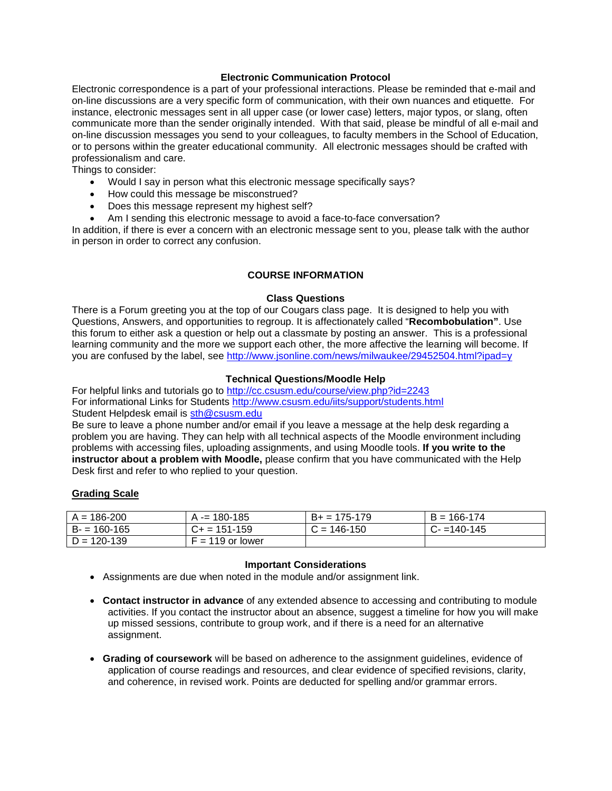### **Electronic Communication Protocol**

<span id="page-4-0"></span>Electronic correspondence is a part of your professional interactions. Please be reminded that e-mail and on-line discussions are a very specific form of communication, with their own nuances and etiquette. For instance, electronic messages sent in all upper case (or lower case) letters, major typos, or slang, often communicate more than the sender originally intended. With that said, please be mindful of all e-mail and on-line discussion messages you send to your colleagues, to faculty members in the School of Education, or to persons within the greater educational community. All electronic messages should be crafted with professionalism and care.

Things to consider:

- Would I say in person what this electronic message specifically says?
- How could this message be misconstrued?
- Does this message represent my highest self?
- Am I sending this electronic message to avoid a face-to-face conversation?

In addition, if there is ever a concern with an electronic message sent to you, please talk with the author in person in order to correct any confusion.

## **COURSE INFORMATION**

#### **Class Questions**

<span id="page-4-2"></span><span id="page-4-1"></span>There is a Forum greeting you at the top of our Cougars class page. It is designed to help you with Questions, Answers, and opportunities to regroup. It is affectionately called "**Recombobulation"**. Use this forum to either ask a question or help out a classmate by posting an answer. This is a professional learning community and the more we support each other, the more affective the learning will become. If you are confused by the label, see<http://www.jsonline.com/news/milwaukee/29452504.html?ipad=y>

### **Technical Questions/Moodle Help**

<span id="page-4-3"></span>For helpful links and tutorials go to<http://cc.csusm.edu/course/view.php?id=2243> For informational Links for Students<http://www.csusm.edu/iits/support/students.html> Student Helpdesk email is [sth@csusm.edu](mailto:sth@csusm.edu)

Be sure to leave a phone number and/or email if you leave a message at the help desk regarding a problem you are having. They can help with all technical aspects of the Moodle environment including problems with accessing files, uploading assignments, and using Moodle tools. **If you write to the instructor about a problem with Moodle,** please confirm that you have communicated with the Help Desk first and refer to who replied to your question.

### **Grading Scale**

| $A = 186 - 200$ | $A = 180 - 185$    | $B_+ = 175-179$ | $B = 166 - 174$ |
|-----------------|--------------------|-----------------|-----------------|
| $B = 160-165$   | $C_{+}$ = 151-159  | $C = 146 - 150$ | $C = 140 - 145$ |
| $D = 120 - 139$ | $F = 119$ or lower |                 |                 |

### **Important Considerations**

- <span id="page-4-4"></span>• Assignments are due when noted in the module and/or assignment link.
- **Contact instructor in advance** of any extended absence to accessing and contributing to module activities. If you contact the instructor about an absence, suggest a timeline for how you will make up missed sessions, contribute to group work, and if there is a need for an alternative assignment.
- **Grading of coursework** will be based on adherence to the assignment guidelines, evidence of application of course readings and resources, and clear evidence of specified revisions, clarity, and coherence, in revised work. Points are deducted for spelling and/or grammar errors.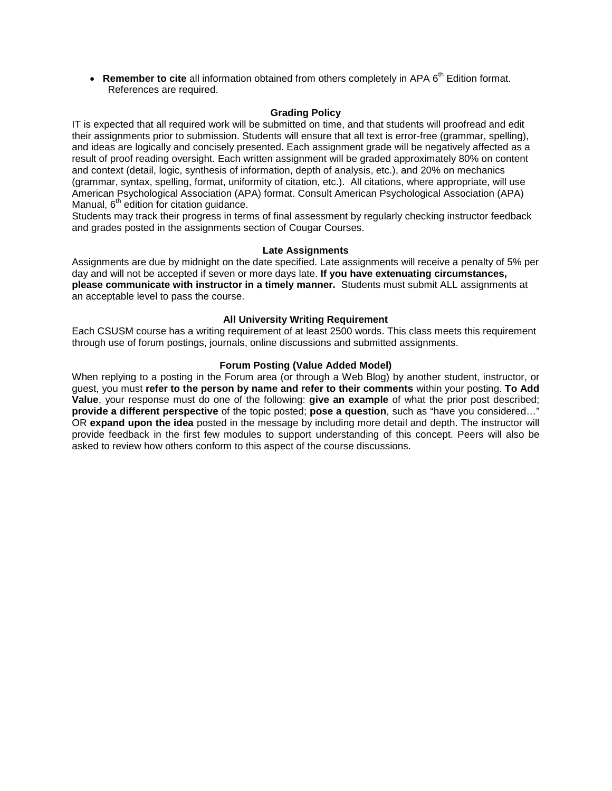• **Remember to cite** all information obtained from others completely in APA 6<sup>th</sup> Edition format. References are required.

### **Grading Policy**

<span id="page-5-0"></span>IT is expected that all required work will be submitted on time, and that students will proofread and edit their assignments prior to submission. Students will ensure that all text is error-free (grammar, spelling), and ideas are logically and concisely presented. Each assignment grade will be negatively affected as a result of proof reading oversight. Each written assignment will be graded approximately 80% on content and context (detail, logic, synthesis of information, depth of analysis, etc.), and 20% on mechanics (grammar, syntax, spelling, format, uniformity of citation, etc.). All citations, where appropriate, will use American Psychological Association (APA) format. Consult American Psychological Association (APA) Manual,  $6<sup>th</sup>$  edition for citation guidance.

Students may track their progress in terms of final assessment by regularly checking instructor feedback and grades posted in the assignments section of Cougar Courses.

#### **Late Assignments**

<span id="page-5-1"></span>Assignments are due by midnight on the date specified. Late assignments will receive a penalty of 5% per day and will not be accepted if seven or more days late. **If you have extenuating circumstances, please communicate with instructor in a timely manner.** Students must submit ALL assignments at an acceptable level to pass the course.

### **All University Writing Requirement**

<span id="page-5-2"></span>Each CSUSM course has a writing requirement of at least 2500 words. This class meets this requirement through use of forum postings, journals, online discussions and submitted assignments.

#### **Forum Posting (Value Added Model)**

<span id="page-5-3"></span>When replying to a posting in the Forum area (or through a Web Blog) by another student, instructor, or guest, you must **refer to the person by name and refer to their comments** within your posting. **To Add Value**, your response must do one of the following: **give an example** of what the prior post described; **provide a different perspective** of the topic posted; **pose a question**, such as "have you considered…" OR **expand upon the idea** posted in the message by including more detail and depth. The instructor will provide feedback in the first few modules to support understanding of this concept. Peers will also be asked to review how others conform to this aspect of the course discussions.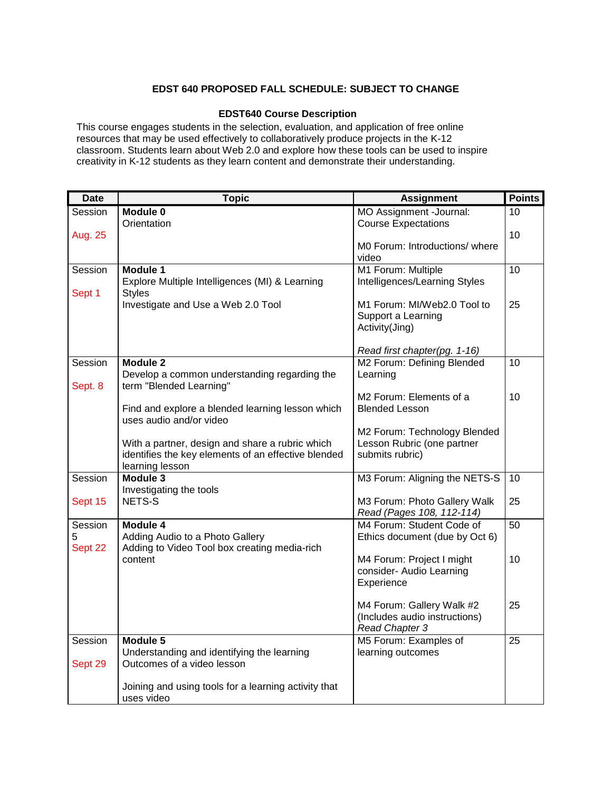# **EDST 640 PROPOSED FALL SCHEDULE: SUBJECT TO CHANGE**

### **EDST640 Course Description**

<span id="page-6-0"></span>This course engages students in the selection, evaluation, and application of free online resources that may be used effectively to collaboratively produce projects in the K-12 classroom. Students learn about Web 2.0 and explore how these tools can be used to inspire creativity in K-12 students as they learn content and demonstrate their understanding.

| <b>Date</b> | <b>Topic</b>                                                                | <b>Assignment</b>                   | <b>Points</b>   |
|-------------|-----------------------------------------------------------------------------|-------------------------------------|-----------------|
| Session     | Module 0                                                                    | MO Assignment -Journal:             | 10              |
|             | Orientation                                                                 | <b>Course Expectations</b>          |                 |
| Aug. 25     |                                                                             |                                     | 10              |
|             |                                                                             | MO Forum: Introductions/where       |                 |
|             |                                                                             | video                               |                 |
| Session     | <b>Module 1</b>                                                             | M1 Forum: Multiple                  | 10              |
|             | Explore Multiple Intelligences (MI) & Learning                              | Intelligences/Learning Styles       |                 |
| Sept 1      | <b>Styles</b>                                                               | M1 Forum: MI/Web2.0 Tool to         | 25              |
|             | Investigate and Use a Web 2.0 Tool                                          | Support a Learning                  |                 |
|             |                                                                             | Activity(Jing)                      |                 |
|             |                                                                             |                                     |                 |
|             |                                                                             | Read first chapter(pg. 1-16)        |                 |
| Session     | Module 2                                                                    | M2 Forum: Defining Blended          | 10              |
| Sept. 8     | Develop a common understanding regarding the<br>term "Blended Learning"     | Learning                            |                 |
|             |                                                                             | M <sub>2</sub> Forum: Elements of a | 10              |
|             | Find and explore a blended learning lesson which<br>uses audio and/or video | <b>Blended Lesson</b>               |                 |
|             |                                                                             | M2 Forum: Technology Blended        |                 |
|             | With a partner, design and share a rubric which                             | Lesson Rubric (one partner          |                 |
|             | identifies the key elements of an effective blended                         | submits rubric)                     |                 |
|             | learning lesson                                                             |                                     |                 |
| Session     | Module 3                                                                    | M3 Forum: Aligning the NETS-S       | 10              |
| Sept 15     | Investigating the tools<br>NETS-S                                           | M3 Forum: Photo Gallery Walk        | 25              |
|             |                                                                             | Read (Pages 108, 112-114)           |                 |
| Session     | Module 4                                                                    | M4 Forum: Student Code of           | $\overline{50}$ |
| 5           | Adding Audio to a Photo Gallery                                             | Ethics document (due by Oct 6)      |                 |
| Sept 22     | Adding to Video Tool box creating media-rich                                |                                     |                 |
|             | content                                                                     | M4 Forum: Project I might           | 10              |
|             |                                                                             | consider- Audio Learning            |                 |
|             |                                                                             | Experience                          |                 |
|             |                                                                             | M4 Forum: Gallery Walk #2           | 25              |
|             |                                                                             | (Includes audio instructions)       |                 |
|             |                                                                             | Read Chapter 3                      |                 |
| Session     | Module 5                                                                    | M5 Forum: Examples of               | 25              |
|             | Understanding and identifying the learning                                  | learning outcomes                   |                 |
| Sept 29     | Outcomes of a video lesson                                                  |                                     |                 |
|             |                                                                             |                                     |                 |
|             | Joining and using tools for a learning activity that                        |                                     |                 |
|             | uses video                                                                  |                                     |                 |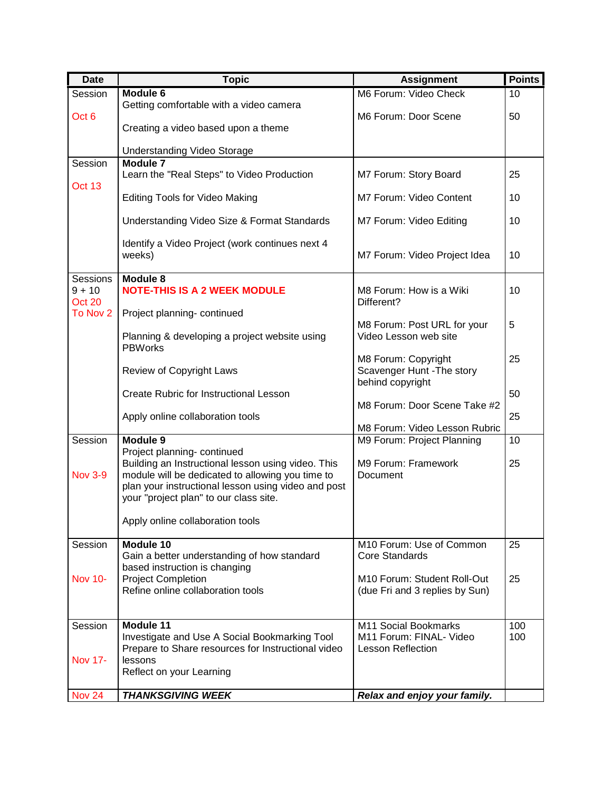| <b>Date</b>        | <b>Topic</b>                                                                      | <b>Assignment</b>                               | <b>Points</b> |
|--------------------|-----------------------------------------------------------------------------------|-------------------------------------------------|---------------|
| Session            | Module 6                                                                          | M6 Forum: Video Check                           | 10            |
|                    | Getting comfortable with a video camera                                           |                                                 |               |
| Oct 6              |                                                                                   | M6 Forum: Door Scene                            | 50            |
|                    | Creating a video based upon a theme                                               |                                                 |               |
|                    | <b>Understanding Video Storage</b>                                                |                                                 |               |
| Session            | <b>Module 7</b>                                                                   |                                                 |               |
|                    | Learn the "Real Steps" to Video Production                                        | M7 Forum: Story Board                           | 25            |
| Oct 13             |                                                                                   |                                                 |               |
|                    | Editing Tools for Video Making                                                    | M7 Forum: Video Content                         | 10            |
|                    | Understanding Video Size & Format Standards                                       | M7 Forum: Video Editing                         | 10            |
|                    |                                                                                   |                                                 |               |
|                    | Identify a Video Project (work continues next 4                                   |                                                 |               |
|                    | weeks)                                                                            | M7 Forum: Video Project Idea                    | 10            |
|                    |                                                                                   |                                                 |               |
| <b>Sessions</b>    | Module 8                                                                          |                                                 |               |
| $9 + 10$<br>Oct 20 | <b>NOTE-THIS IS A 2 WEEK MODULE</b>                                               | M8 Forum: How is a Wiki<br>Different?           | 10            |
| To Nov 2           | Project planning- continued                                                       |                                                 |               |
|                    |                                                                                   | M8 Forum: Post URL for your                     | 5             |
|                    | Planning & developing a project website using                                     | Video Lesson web site                           |               |
|                    | <b>PBWorks</b>                                                                    |                                                 |               |
|                    |                                                                                   | M8 Forum: Copyright                             | 25            |
|                    | Review of Copyright Laws                                                          | Scavenger Hunt - The story<br>behind copyright  |               |
|                    | Create Rubric for Instructional Lesson                                            |                                                 | 50            |
|                    |                                                                                   | M8 Forum: Door Scene Take #2                    |               |
|                    | Apply online collaboration tools                                                  |                                                 | 25            |
|                    |                                                                                   | M8 Forum: Video Lesson Rubric                   |               |
| Session            | Module 9                                                                          | M9 Forum: Project Planning                      | 10            |
|                    | Project planning- continued<br>Building an Instructional lesson using video. This | M9 Forum: Framework                             | 25            |
| <b>Nov 3-9</b>     | module will be dedicated to allowing you time to                                  | Document                                        |               |
|                    | plan your instructional lesson using video and post                               |                                                 |               |
|                    | your "project plan" to our class site.                                            |                                                 |               |
|                    |                                                                                   |                                                 |               |
|                    | Apply online collaboration tools                                                  |                                                 |               |
| Session            | Module 10                                                                         | M10 Forum: Use of Common                        | 25            |
|                    | Gain a better understanding of how standard                                       | <b>Core Standards</b>                           |               |
|                    | based instruction is changing                                                     |                                                 |               |
| <b>Nov 10-</b>     | <b>Project Completion</b>                                                         | M10 Forum: Student Roll-Out                     | 25            |
|                    | Refine online collaboration tools                                                 | (due Fri and 3 replies by Sun)                  |               |
|                    |                                                                                   |                                                 |               |
|                    |                                                                                   |                                                 |               |
| Session            | Module 11<br>Investigate and Use A Social Bookmarking Tool                        | M11 Social Bookmarks<br>M11 Forum: FINAL- Video | 100<br>100    |
|                    | Prepare to Share resources for Instructional video                                | <b>Lesson Reflection</b>                        |               |
| <b>Nov 17-</b>     | lessons                                                                           |                                                 |               |
|                    | Reflect on your Learning                                                          |                                                 |               |
|                    |                                                                                   |                                                 |               |
| <b>Nov 24</b>      | <b>THANKSGIVING WEEK</b>                                                          | Relax and enjoy your family.                    |               |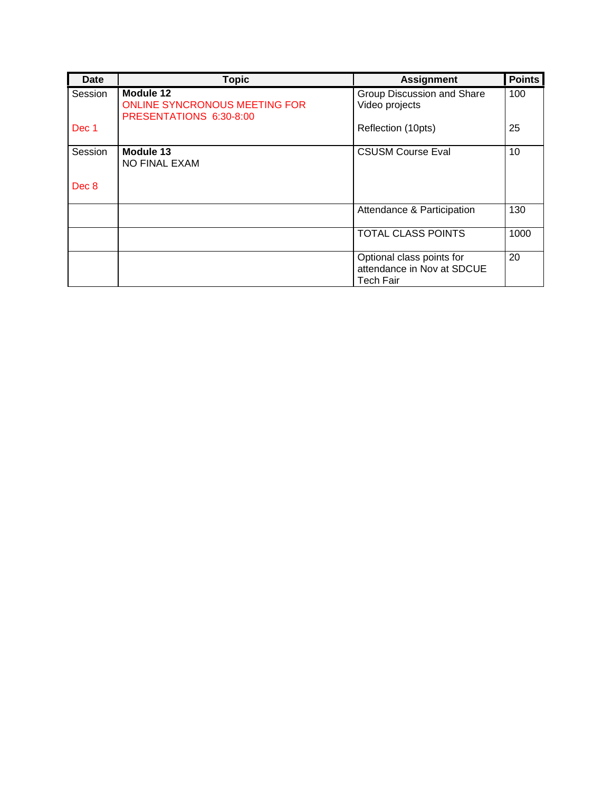| Date    | <b>Topic</b>                                                                 | <b>Assignment</b>                                                    | <b>Points</b> |
|---------|------------------------------------------------------------------------------|----------------------------------------------------------------------|---------------|
| Session | Module 12<br><b>ONLINE SYNCRONOUS MEETING FOR</b><br>PRESENTATIONS 6:30-8:00 | Group Discussion and Share<br>Video projects                         | 100           |
| Dec 1   |                                                                              | Reflection (10pts)                                                   | 25            |
| Session | Module 13<br><b>NO FINAL EXAM</b>                                            | <b>CSUSM Course Eval</b>                                             | 10            |
| Dec 8   |                                                                              |                                                                      |               |
|         |                                                                              | Attendance & Participation                                           | 130           |
|         |                                                                              | <b>TOTAL CLASS POINTS</b>                                            | 1000          |
|         |                                                                              | Optional class points for<br>attendance in Nov at SDCUE<br>Tech Fair | 20            |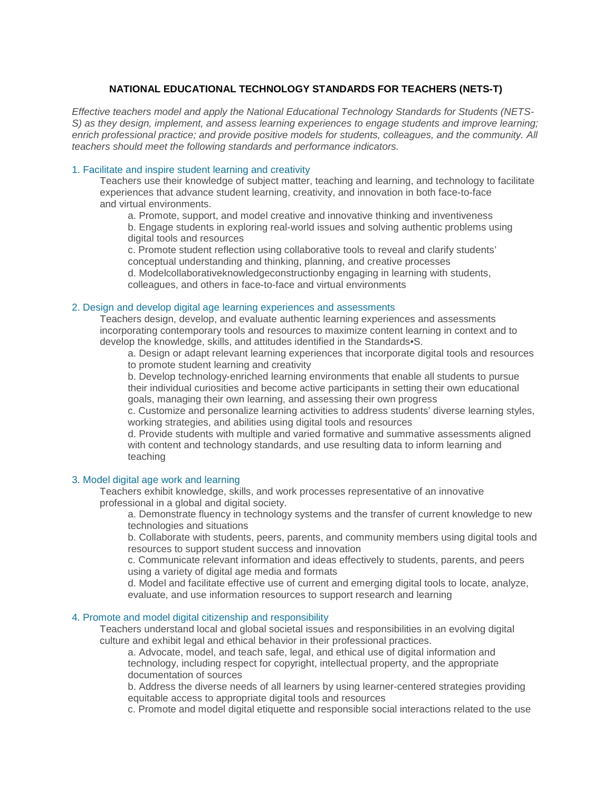### **NATIONAL EDUCATIONAL TECHNOLOGY STANDARDS FOR TEACHERS (NETS-T)**

<span id="page-9-0"></span>*Effective teachers model and apply the National Educational Technology Standards for Students (NETS-S) as they design, implement, and assess learning experiences to engage students and improve learning; enrich professional practice; and provide positive models for students, colleagues, and the community. All teachers should meet the following standards and performance indicators.*

#### 1. Facilitate and inspire student learning and creativity

Teachers use their knowledge of subject matter, teaching and learning, and technology to facilitate experiences that advance student learning, creativity, and innovation in both face-to-face and virtual environments.

a. Promote, support, and model creative and innovative thinking and inventiveness

b. Engage students in exploring real-world issues and solving authentic problems using digital tools and resources

c. Promote student reflection using collaborative tools to reveal and clarify students' conceptual understanding and thinking, planning, and creative processes

d. Modelcollaborativeknowledgeconstructionby engaging in learning with students, colleagues, and others in face-to-face and virtual environments

#### 2. Design and develop digital age learning experiences and assessments

Teachers design, develop, and evaluate authentic learning experiences and assessments incorporating contemporary tools and resources to maximize content learning in context and to develop the knowledge, skills, and attitudes identified in the Standards•S.

a. Design or adapt relevant learning experiences that incorporate digital tools and resources to promote student learning and creativity

b. Develop technology-enriched learning environments that enable all students to pursue their individual curiosities and become active participants in setting their own educational goals, managing their own learning, and assessing their own progress

c. Customize and personalize learning activities to address students' diverse learning styles, working strategies, and abilities using digital tools and resources

d. Provide students with multiple and varied formative and summative assessments aligned with content and technology standards, and use resulting data to inform learning and teaching

#### 3. Model digital age work and learning

Teachers exhibit knowledge, skills, and work processes representative of an innovative professional in a global and digital society.

a. Demonstrate fluency in technology systems and the transfer of current knowledge to new technologies and situations

b. Collaborate with students, peers, parents, and community members using digital tools and resources to support student success and innovation

c. Communicate relevant information and ideas effectively to students, parents, and peers using a variety of digital age media and formats

d. Model and facilitate effective use of current and emerging digital tools to locate, analyze, evaluate, and use information resources to support research and learning

#### 4. Promote and model digital citizenship and responsibility

Teachers understand local and global societal issues and responsibilities in an evolving digital culture and exhibit legal and ethical behavior in their professional practices.

a. Advocate, model, and teach safe, legal, and ethical use of digital information and technology, including respect for copyright, intellectual property, and the appropriate documentation of sources

b. Address the diverse needs of all learners by using learner-centered strategies providing equitable access to appropriate digital tools and resources

c. Promote and model digital etiquette and responsible social interactions related to the use